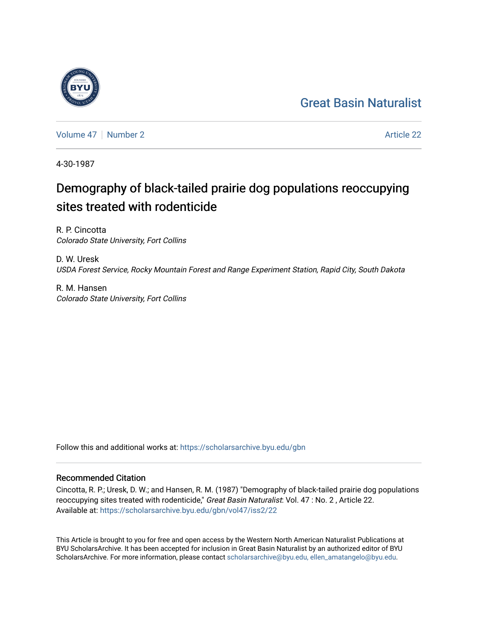## [Great Basin Naturalist](https://scholarsarchive.byu.edu/gbn)

[Volume 47](https://scholarsarchive.byu.edu/gbn/vol47) | [Number 2](https://scholarsarchive.byu.edu/gbn/vol47/iss2) Article 22

4-30-1987

# Demography of black-tailed prairie dog populations reoccupying sites treated with rodenticide

R. P. Cincotta Colorado State University, Fort Collins

D. W. Uresk USDA Forest Service, Rocky Mountain Forest and Range Experiment Station, Rapid City, South Dakota

R. M. Hansen Colorado State University, Fort Collins

Follow this and additional works at: [https://scholarsarchive.byu.edu/gbn](https://scholarsarchive.byu.edu/gbn?utm_source=scholarsarchive.byu.edu%2Fgbn%2Fvol47%2Fiss2%2F22&utm_medium=PDF&utm_campaign=PDFCoverPages) 

### Recommended Citation

Cincotta, R. P.; Uresk, D. W.; and Hansen, R. M. (1987) "Demography of black-tailed prairie dog populations reoccupying sites treated with rodenticide," Great Basin Naturalist: Vol. 47 : No. 2, Article 22. Available at: [https://scholarsarchive.byu.edu/gbn/vol47/iss2/22](https://scholarsarchive.byu.edu/gbn/vol47/iss2/22?utm_source=scholarsarchive.byu.edu%2Fgbn%2Fvol47%2Fiss2%2F22&utm_medium=PDF&utm_campaign=PDFCoverPages) 

This Article is brought to you for free and open access by the Western North American Naturalist Publications at BYU ScholarsArchive. It has been accepted for inclusion in Great Basin Naturalist by an authorized editor of BYU ScholarsArchive. For more information, please contact [scholarsarchive@byu.edu, ellen\\_amatangelo@byu.edu.](mailto:scholarsarchive@byu.edu,%20ellen_amatangelo@byu.edu)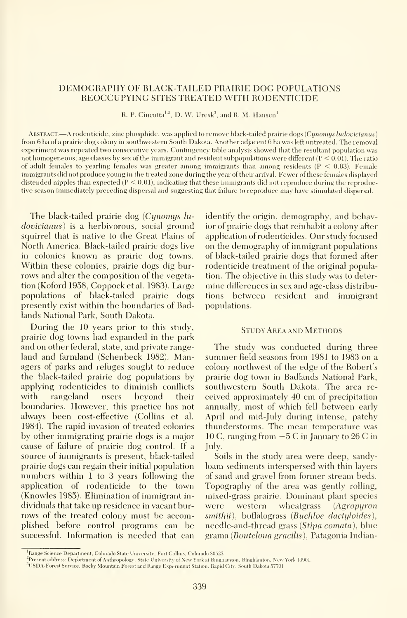#### DEMOGRAPHY OF BLACK-TAILED PRAIRIE DOG POPULATIONS REOCCUPYING SITES TREATED WITH RODENTICIDE

R. P. Cincotta<sup>t.2</sup>, D. W. Uresk<sup>3</sup>, and R. M. Hansen<sup>1</sup>

ABSTRACT.—A rodenticide, zinc phosphide, was applied to remove black-tailed prairie dogs (Cynomys ludovicianus) from 6 ha of a prairie dog colony in southwestern South Dakota. Another adjacent 6 ha was left untreated. The removal experiment was repeated two consecutive years. Contingency table analysis showed that the resultant population was not homogeneous; age classes by sex of the immigrant and resident subpopulations were different  $(P < 0.01)$ . The ratio of adult females to yearling females was greater among immigrants than among residents  $(P < 0.03)$ . Female immigrants did not produce young in the treated zone during the year of their arrival. Fewer of these females displayed distended nipples than expected  $(P < 0.01)$ , indicating that these immigrants did not reproduce during the reproductive season immediately preceding dispersal and suggesting that failure to reproduce may have stimulated dispersal.

The black-tailed prairie dog  $(Cynomys lu$ dovicianus) is a herbivorous, social ground squirrel that is native to the Great Plains of North America. Black-tailed prairie dogs live in colonies known as prairie dog towns. Within these colonies, prairie dogs dig bur rows and alter the composition of the vegetation (Koford 1958, Coppocketal. 1983). Large populations of black-tailed prairie dogs presently exist within the boundaries of Badlands National Park, South Dakota.

During the 10 years prior to this study, prairie dog towns had expanded in the park and on other federal, state, and private range land and farmland (Schenbeck 1982). Managers of parks and refuges sought to reduce the black-tailed prairie dog populations by applying rodenticides to diminish conflicts with rangeland users beyond their boundaries. However, this practice has not always been cost-effective (Collins et al. 1984). The rapid invasion of treated colonies by other immigrating prairie dogs is a major cause of failure of prairie dog control. If a source of immigrants is present, black-tailed prairie dogs can regain their initial population numbers within <sup>1</sup> to 3 years following the application of rodenticide to the town  $(\hat{K}n$ owles 1985). Elimination of immigrant individuals that take up residence in vacant bur rows of the treated colony must be accomplished before control programs can be successful. Information is needed that can

identify the origin, demography, and behavior of prairie dogs that reinhabit a colony after application of rodenticides. Our study focused on the demography of immigrant populations of black-tailed prairie dogs that formed after rodenticide treatment of the original population. The objective in this study was to deter mine differences in sex and age-class distributions between resident and immigrant populations.

#### Study Area and Methods

The study was conducted during three summer field seasons from 1981 to 1983 on <sup>a</sup> colony northwest of the edge of the Robert's prairie dog town in Badlands National Park, southwestern South Dakota. The area re ceived approximately 40 cm of precipitation annually, most of which fell between early April and mid-July during intense, patchy thunderstorms. The mean temperature was 10 C, ranging from  $-5$  C in January to 26 C in July.

Soils in the study area were deep, sandyloam sediments interspersed with thin layers of sand and gravel from former stream beds. Topography of the area was gently rolling, mixed-grass prairie. Dominant plant species western wheatgrass (Agropyron smithii), buffalograss (Buchloe dactuloides), needle-and-thread grass (Stipa comata), blue grama (Bouteloua gracilis), Patagonia Indian-

<sup>&</sup>lt;sup>1</sup> Range Science Department, Colorado State University, Fort Collins, Colorado 80523.

<sup>&</sup>quot;Present address: Department of Anthropology. State University of New York at Binghamton. Binghamton, New York 13901

<sup>&</sup>lt;sup>3</sup>USDA-Forest Service, Rocky Mountain Forest and Range Experiment Station, Rapid City, South Dakota 57701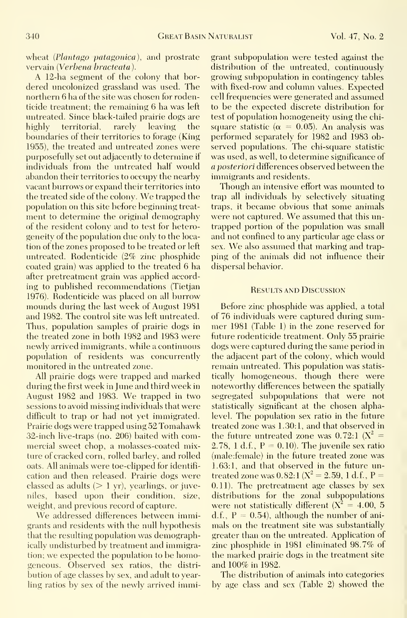wheat (Plantago patagonica), and prostrate vervain (Verbena bracteata).

A 12-ha segment of the colony that bordered uncolonized grassland was used. The northern 6 ha of the site was chosen for rodenticide treatment; the remaining 6 ha was left untreated. Since black-tailed prairie dogs are highly territorial, rarely leaving the boundaries of their territories to forage (King 1955), the treated and untreated zones were purposefully set out adjacently to determine if individuals from the untreated half would abandon their territories to occupy the nearby vacant burrows or expand their territories into the treated side of the colony. We trapped the population on this site before beginning treat ment to determine the original demography of the resident colony and to test for heterogeneity of the population due only to the loca tion of the zones proposed to be treated or left untreated. Rodenticide (2% zinc phosphide coated grain) was applied to the treated 6 ha after pretreatment grain was applied according to published recommendations (Tietjan 1976). Rodenticide was placed on all burrow mounds during the last week of August 1981 and 1982. The control site was left untreated. Thus, population samples of prairie dogs in the treated zone in both 1982 and 1983 were newly arrived immigrants, while a continuous population of residents was concurrently monitored in the untreated zone.

All prairie dogs were trapped and marked during the first week in June and third week in August <sup>1982</sup> and 1983. We trapped in two sessions to avoid missing individuals that were difficult to trap or had not yet immigrated. Prairie dogs were trapped using 52 Tomahawk 32-inch live-traps (no. 206) baited with commercial sweet chop, a molasses-coated mixture of cracked corn, rolled barley, and rolled oats. All animals were toe-clipped for identifi cation and then released. Prairie dogs were classed as adults  $(> 1 \text{ yr})$ , vearlings, or juveniles, based upon their condition, size, weight, and previous record of capture.

We addressed differences between immigrants and residents with the null hypothesis that the resulting population was demographically undisturbed by treatment and immigration; we expected the population to be homogeneous. Observed sex ratios, the distri bution of age classes by sex, and adult to yearling ratios by sex of the newly arrived immi-

grant subpopulation were tested against the distribution of the untreated, continuously growing subpopulation in contingency tables with fixed-row and column values. Expected cell frequencies were generated and assumed to be the expected discrete distribution for test of population homogeneity using the chi square statistic ( $\alpha = 0.05$ ). An analysis was performed separately for 1982 and 1983 observed populations. The chi-square statistic was used, as well, to determine significance of a posteriori differences observed between the immigrants and residents.

Though an intensive effort was mounted to trap all individuals by selectively situating traps, it became obvious that some animals were not captured. We assumed that this un trapped portion of the population was small and not confined to any particular age class or sex. We also assumed that marking and trapping of the animals did not influence their dispersal behavior.

#### Results and Discussion

Before zinc phosphide was applied, a total of 76 individuals were captured during sum mer 1981 (Table 1) in the zone reserved for future rodenticide treatment. Only 55 prairie dogs were captured during the same period in the adjacent part of the colony, which would remain untreated. This population was statis tically homogeneous, though there were noteworthy differences between the spatially segregated subpopulations that were not statistically significant at the chosen alphalevel. The population sex ratio in the future treated zone was 1.30:1, and that observed in the future untreated zone was  $0.72:1 \text{ (X}^2 =$ 2.78, 1 d.f.,  $P = 0.10$ ). The juvenile sex ratio (male:female) in the future treated zone was 1.63:1, and that observed in the future untreated zone was  $0.82:1 (X^2 = 2.59, 1 d.f., P =$ 0.11). The pretreatment age classes by sex distributions for the zonal subpopulations were not statistically different  $(X^2 = 4.00, 5)$ d.f.,  $P = 0.54$ , although the number of animals on the treatment site was substantially greater than on the untreated. Application of zinc phosphide in 1981 eliminated 98.7% of the marked prairie dogs in the treatment site and 100% in 1982.

The distribution of animals into categories by age class and sex (Table 2) showed the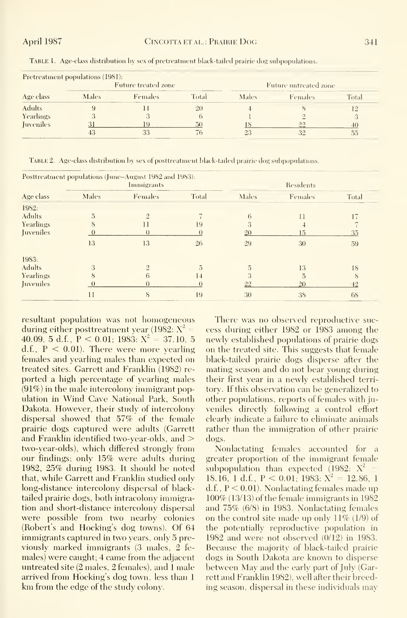|                  | Pretreatment populations (1981):<br>Future treated zone |                |       | Future untreated zone |                    |       |  |
|------------------|---------------------------------------------------------|----------------|-------|-----------------------|--------------------|-------|--|
| Age class        | Males                                                   | <b>Females</b> | Total | Males                 | Females            | Total |  |
| <b>Adults</b>    |                                                         |                |       |                       |                    |       |  |
| Yearlings        |                                                         |                |       |                       |                    |       |  |
| <b>Iuveniles</b> |                                                         |                |       |                       | ാറ<br><b>COLOR</b> |       |  |
|                  |                                                         |                |       |                       |                    |       |  |

TABLE 1. Age-class distribution by sex of pretreatment black-tailed prairie dog subpopulations.

TABLE 2. Age-class distribution by sex of posttreatment black-tailed prairie dog subpopulations.

|                         |                | Posttreatment populations (June-August 1982 and 1983):<br>Immigrants |       | Residents |                |       |  |
|-------------------------|----------------|----------------------------------------------------------------------|-------|-----------|----------------|-------|--|
| Age class               | Males          | Females                                                              | Total | Males     | Females        | Total |  |
| 1982:                   |                |                                                                      |       |           |                |       |  |
| <b>Adults</b>           | $\overline{5}$ | $\mathcal{D}$                                                        |       | 6         | $\overline{1}$ | 17    |  |
| <b>Yearlings</b>        | $_{\rm 8}$     |                                                                      | 19    | 3         |                |       |  |
| <i><u>Inveniles</u></i> |                | $\left( \right)$                                                     |       | 20        | 15             | 35    |  |
|                         | 13             | 13                                                                   | 26    | 29        | 30             | 59    |  |
| 1983:                   |                |                                                                      |       |           |                |       |  |
| <b>Adults</b>           | 3              | $\overline{2}$                                                       | 5     | 5         | 13             | 18    |  |
| <b>Yearlings</b>        |                | 6                                                                    | 14    |           | 5              |       |  |
| Juveniles               |                | $\theta$                                                             |       | 22        | 20             | 42    |  |
|                         | 11             | S                                                                    | 19    | 30        | 38             | 68    |  |

resultant population was not homogeneous during either posttreatment year (1982:  $X^2 =$ 40.09, 5 d.f.,  $P \le 0.01$ ; 1983:  $X^2 = 37.10$ , 5 d.f.,  $P < 0.01$ ). There were more vearling females and vearling males than expected on treated sites. Garrett and Franklin (1982) reported a high percentage of vearling males  $(91\%)$  in the male intercolony immigrant population in Wind Cave National Park, South Dakota. However, their study of intercolony dispersal showed that 57% of the female prairie dogs captured were adults (Garrett and Franklin identified two-vear-olds, and  $>$ two-vear-olds), which differed strongly from our findings; only 15% were adults during 1982, 25% during 1983. It should be noted that, while Garrett and Franklin studied only long-distance intercolony dispersal of blacktailed prairie dogs, both intracolony immigration and short-distance intercolony dispersal were possible from two nearby colonies (Robert's and Hocking's dog towns). Of 64 immigrants captured in two years, only 5 previously marked immigrants (3 males, 2 females) were caught: 4 came from the adiacent untreated site (2 males, 2 females), and 1 male arrived from Hocking's dog town, less than 1 km from the edge of the study colony.

There was no observed reproductive success during either 1982 or 1983 among the newly established populations of prairie dogs on the treated site. This suggests that female black-tailed prairie dogs disperse after the mating season and do not bear young during their first year in a newly established territory. If this observation can be generalized to other populations, reports of females with juveniles directly following a control effort clearly indicate a failure to eliminate animals rather than the immigration of other prairie dogs.

Nonlactating females accounted for a greater proportion of the immigrant female subpopulation than expected  $(1982: X^2)$ 18.16, 1 d.f.,  $P < 0.01$ , 1983:  $X^2 = 12.86$ , 1  $d.f., P < 0.01$ . Nonlactating females made up  $100\%$  (13/13) of the female immigrants in 1982 and 75% (6/8) in 1983. Nonlactating females on the control site made up only  $11\%$  (1/9) of the potentially reproductive population in 1982 and were not observed  $(0/12)$  in 1983. Because the majority of black-tailed prairie dogs in South Dakota are known to disperse between May and the early part of July (Garrett and Franklin 1982), well after their breeding season, dispersal in these individuals may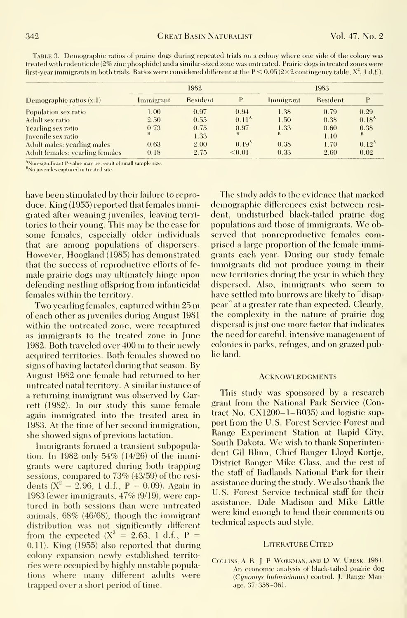|                                  | 1982      |          |                   | 1983      |          |                   |  |
|----------------------------------|-----------|----------|-------------------|-----------|----------|-------------------|--|
| Demographic ratios $(x:1)$       | Immigrant | Resident | P                 | Immigrant | Resident |                   |  |
| Population sex ratio             | 1.00      | 0.97     | 0.94              | 1.38      | 0.79     | 0.29              |  |
| Adult sex ratio                  | 2.50      | 0.55     | 0.11 <sup>A</sup> | 1.50      | 0.38     | 0.18 <sup>A</sup> |  |
| Yearling sex ratio               | 0.73      | 0.75     | 0.97              | 1.33      | 0.60     | 0.38              |  |
| Juvenile sex ratio               | в         | 1.33     | $\bf{B}$          | в.        | 1.10     | B                 |  |
| Adult males: yearling males      | 0.63      | 2.00     | 0.19 <sup>A</sup> | 0.38      | 1.70     | $0.12^{A}$        |  |
| Adult females: yearling females- | 0.18      | 2.75     | < 0.01            | 0.33      | 2.60     | 0.02              |  |

TABLE 3. Demographic ratios of prairie dogs during repeated trials on a colony where one side of the colony was treated with rodenticide (2% zinc phosphide) and a similar-sized zone was untreated. Prairie dogs in treated zones were first-year immigrants in both trials. Ratios were considered different at the  $P < 0.05 (2 \times 2$  contingency table,  $X^2$ , 1 d.f.).

<sup>A</sup>Non-significant P-value may be result of small sample size

<sup>B</sup>No juveniles captured in treated site.

have been stimulated by their failure to reproduce. King (1955) reported that females immigrated after weaning juveniles, leaving territories to their young. This may be the case for some females, especially older individuals that are among populations of dispersers. However, Hoogland (1985) has demonstrated that the success of reproductive efforts of female prairie dogs may ultimately hinge upon defending nestling offspring from infanticidal females within the territory.

Two vearling females, captured within 25 m of each other as juveniles during August 1981 within the untreated zone, were recaptured as immigrants to the treated zone in June 1982. Both traveled over 400 m to their newly acquired territories. Both females showed no signs of having lactated during that season. By August 1982 one female had returned to her untreated natal territory. A similar instance of a returning immigrant was observed by Garrett (1982). In our study this same female again immigrated into the treated area in 1983. At the time of her second immigration, she showed signs of previous lactation.

Immigrants formed a transient subpopulation. In 1982 only  $54\%$  (14/26) of the immigrants were captured during both trapping sessions, compared to 73% (43/59) of the residents ( $X^2 = 2.96$ , 1 d.f., P = 0.09). Again in 1983 fewer immigrants, 47% (9/19), were captured in both sessions than were untreated animals, 68% (46/68), though the immigrant distribution was not significantly different from the expected  $(X^2 = 2.63, 1 \text{ d.f., } P =$  $(0.11)$ . King  $(1955)$  also reported that during colony expansion newly established territories were occupied by highly unstable populations where many different adults were trapped over a short period of time.

The study adds to the evidence that marked demographic differences exist between resident, undisturbed black-tailed prairie dog populations and those of immigrants. We observed that nonreproductive females comprised a large proportion of the female immigrants each year. During our study female immigrants did not produce young in their new territories during the year in which they dispersed. Also, immigrants who seem to have settled into burrows are likely to "disappear" at a greater rate than expected. Clearly, the complexity in the nature of prairie dog dispersal is just one more factor that indicates the need for careful, intensive management of colonies in parks, refuges, and on grazed public land.

#### **ACKNOWLEDGMENTS**

This study was sponsored by a research grant from the National Park Service (Contract No. CX1200-1-B035) and logistic support from the U.S. Forest Service Forest and Range Experiment Station at Rapid City, South Dakota. We wish to thank Superintendent Gil Blinn, Chief Ranger Llovd Kortie, District Ranger Mike Glass, and the rest of the staff of Badlands National Park for their assistance during the study. We also thank the U.S. Forest Service technical staff for their assistance. Dale Madison and Mike Little were kind enough to lend their comments on technical aspects and style.

#### **LITERATURE CITED**

COLLINS, A. R. J. P. WORKMAN, AND D. W. URESK. 1984. An economic analysis of black-tailed prairie dog (Cunomus ludovicianus) control. J. Range Manage. 37: 358-361.